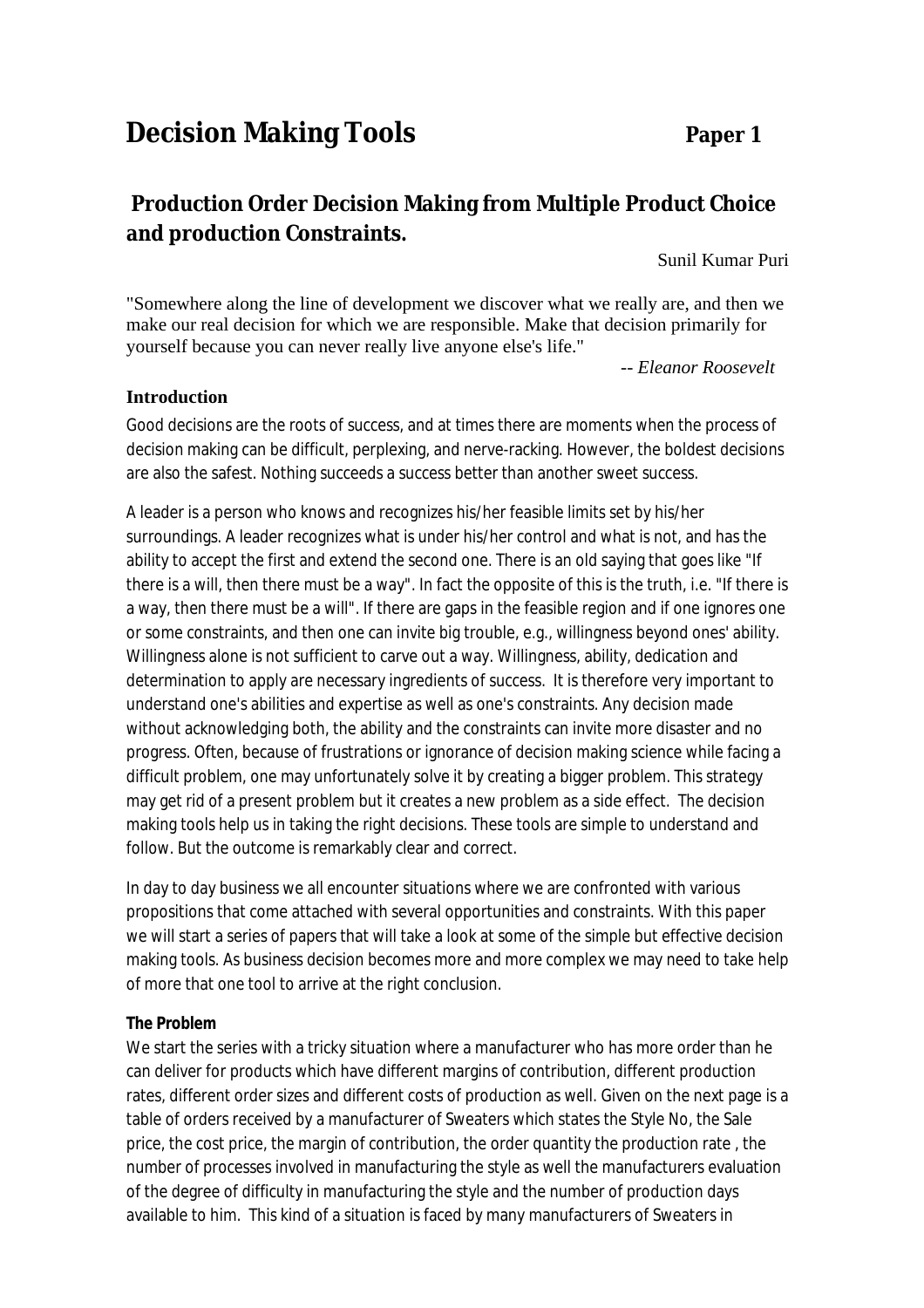# **Decision Making Tools Paper 1**

## **Production Order Decision Making from Multiple Product Choice and production Constraints.**

Sunil Kumar Puri

"Somewhere along the line of development we discover what we really are, and then we make our real decision for which we are responsible. Make that decision primarily for yourself because you can never really live anyone else's life."

*-- Eleanor Roosevelt*

#### **Introduction**

Good decisions are the roots of success, and at times there are moments when the process of decision making can be difficult, perplexing, and nerve-racking. However, the boldest decisions are also the safest. Nothing succeeds a success better than another sweet success.

A leader is a person who knows and recognizes his/her feasible limits set by his/her surroundings. A leader recognizes what is under his/her control and what is not, and has the ability to accept the first and extend the second one. There is an old saying that goes like "If there is a will, then there must be a way". In fact the opposite of this is the truth, i.e. "If there is a way, then there must be a will". If there are gaps in the feasible region and if one ignores one or some constraints, and then one can invite big trouble, e.g., willingness beyond ones' ability. Willingness alone is not sufficient to carve out a way. Willingness, ability, dedication and determination to apply are necessary ingredients of success. It is therefore very important to understand one's abilities and expertise as well as one's constraints. Any decision made without acknowledging both, the ability and the constraints can invite more disaster and no progress. Often, because of frustrations or ignorance of decision making science while facing a difficult problem, one may unfortunately solve it by creating a bigger problem. This strategy may get rid of a present problem but it creates a new problem as a side effect. The decision making tools help us in taking the right decisions. These tools are simple to understand and follow. But the outcome is remarkably clear and correct.

In day to day business we all encounter situations where we are confronted with various propositions that come attached with several opportunities and constraints. With this paper we will start a series of papers that will take a look at some of the simple but effective decision making tools. As business decision becomes more and more complex we may need to take help of more that one tool to arrive at the right conclusion.

#### **The Problem**

We start the series with a tricky situation where a manufacturer who has more order than he can deliver for products which have different margins of contribution, different production rates, different order sizes and different costs of production as well. Given on the next page is a table of orders received by a manufacturer of Sweaters which states the Style No, the Sale price, the cost price, the margin of contribution, the order quantity the production rate , the number of processes involved in manufacturing the style as well the manufacturers evaluation of the degree of difficulty in manufacturing the style and the number of production days available to him. This kind of a situation is faced by many manufacturers of Sweaters in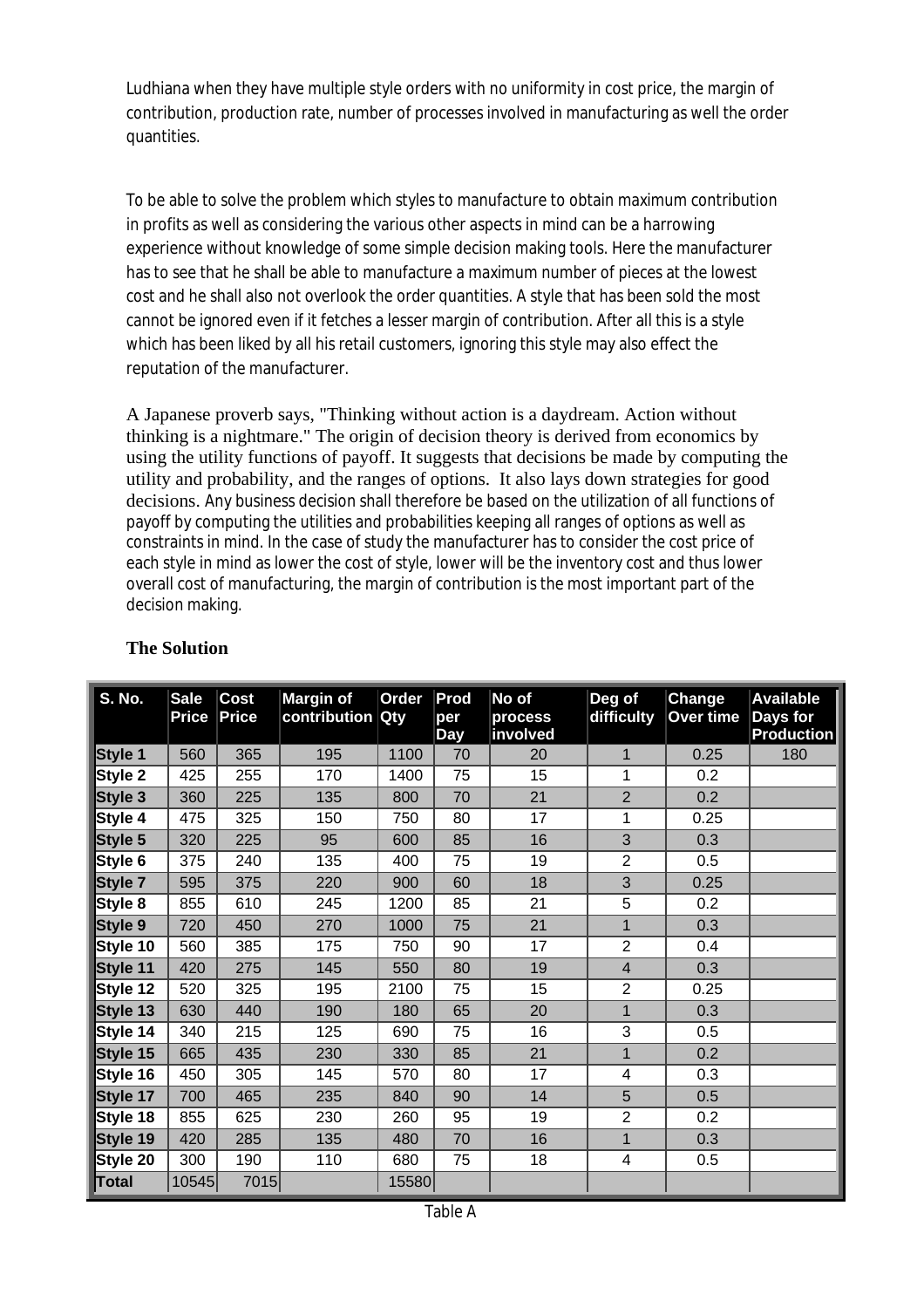Ludhiana when they have multiple style orders with no uniformity in cost price, the margin of contribution, production rate, number of processes involved in manufacturing as well the order quantities.

To be able to solve the problem which styles to manufacture to obtain maximum contribution in profits as well as considering the various other aspects in mind can be a harrowing experience without knowledge of some simple decision making tools. Here the manufacturer has to see that he shall be able to manufacture a maximum number of pieces at the lowest cost and he shall also not overlook the order quantities. A style that has been sold the most cannot be ignored even if it fetches a lesser margin of contribution. After all this is a style which has been liked by all his retail customers, ignoring this style may also effect the reputation of the manufacturer.

A Japanese proverb says, "Thinking without action is a daydream. Action without thinking is a nightmare." The origin of decision theory is derived from economics by using the utility functions of payoff. It suggests that decisions be made by computing the utility and probability, and the ranges of options. It also lays down strategies for good decisions. Any business decision shall therefore be based on the utilization of all functions of payoff by computing the utilities and probabilities keeping all ranges of options as well as constraints in mind. In the case of study the manufacturer has to consider the cost price of each style in mind as lower the cost of style, lower will be the inventory cost and thus lower overall cost of manufacturing, the margin of contribution is the most important part of the decision making.

| <b>S. No.</b> | <b>Sale</b><br><b>Price</b> | <b>Cost</b><br><b>Price</b> | <b>Margin of</b><br>contribution Qty | Order | Prod<br>per<br><b>Day</b> | No of<br>process<br>involved | Deg of<br>difficulty | <b>Change</b><br>Over time | <b>Available</b><br>Days for<br><b>Production</b> |
|---------------|-----------------------------|-----------------------------|--------------------------------------|-------|---------------------------|------------------------------|----------------------|----------------------------|---------------------------------------------------|
| Style 1       | 560                         | 365                         | 195                                  | 1100  | 70                        | 20                           | $\mathbf 1$          | 0.25                       | 180                                               |
| Style 2       | 425                         | 255                         | 170                                  | 1400  | 75                        | 15                           | 1                    | 0.2                        |                                                   |
| Style 3       | 360                         | 225                         | 135                                  | 800   | 70                        | 21                           | $\overline{2}$       | 0.2                        |                                                   |
| Style 4       | 475                         | 325                         | 150                                  | 750   | 80                        | 17                           | 1                    | 0.25                       |                                                   |
| Style 5       | 320                         | 225                         | 95                                   | 600   | 85                        | 16                           | 3                    | 0.3                        |                                                   |
| Style 6       | 375                         | 240                         | 135                                  | 400   | 75                        | 19                           | $\overline{2}$       | 0.5                        |                                                   |
| Style 7       | 595                         | 375                         | 220                                  | 900   | 60                        | 18                           | 3                    | 0.25                       |                                                   |
| Style 8       | 855                         | 610                         | 245                                  | 1200  | 85                        | 21                           | 5                    | 0.2                        |                                                   |
| Style 9       | 720                         | 450                         | 270                                  | 1000  | 75                        | 21                           | $\overline{1}$       | 0.3                        |                                                   |
| Style 10      | 560                         | 385                         | 175                                  | 750   | 90                        | 17                           | $\overline{2}$       | 0.4                        |                                                   |
| Style 11      | 420                         | 275                         | 145                                  | 550   | 80                        | 19                           | $\overline{4}$       | 0.3                        |                                                   |
| Style 12      | 520                         | 325                         | 195                                  | 2100  | 75                        | 15                           | $\overline{c}$       | 0.25                       |                                                   |
| Style 13      | 630                         | 440                         | 190                                  | 180   | 65                        | 20                           | $\mathbf{1}$         | 0.3                        |                                                   |
| Style 14      | 340                         | 215                         | 125                                  | 690   | 75                        | 16                           | 3                    | 0.5                        |                                                   |
| Style 15      | 665                         | 435                         | 230                                  | 330   | 85                        | 21                           | $\mathbf 1$          | 0.2                        |                                                   |
| Style 16      | 450                         | 305                         | 145                                  | 570   | 80                        | 17                           | 4                    | 0.3                        |                                                   |
| Style 17      | 700                         | 465                         | 235                                  | 840   | 90                        | 14                           | 5                    | 0.5                        |                                                   |
| Style 18      | 855                         | 625                         | 230                                  | 260   | 95                        | 19                           | $\overline{2}$       | 0.2                        |                                                   |
| Style 19      | 420                         | 285                         | 135                                  | 480   | 70                        | 16                           | $\mathbf{1}$         | 0.3                        |                                                   |
| Style 20      | 300                         | 190                         | 110                                  | 680   | 75                        | 18                           | 4                    | 0.5                        |                                                   |
| Total         | 10545                       | 7015                        |                                      | 15580 |                           |                              |                      |                            |                                                   |

### **The Solution**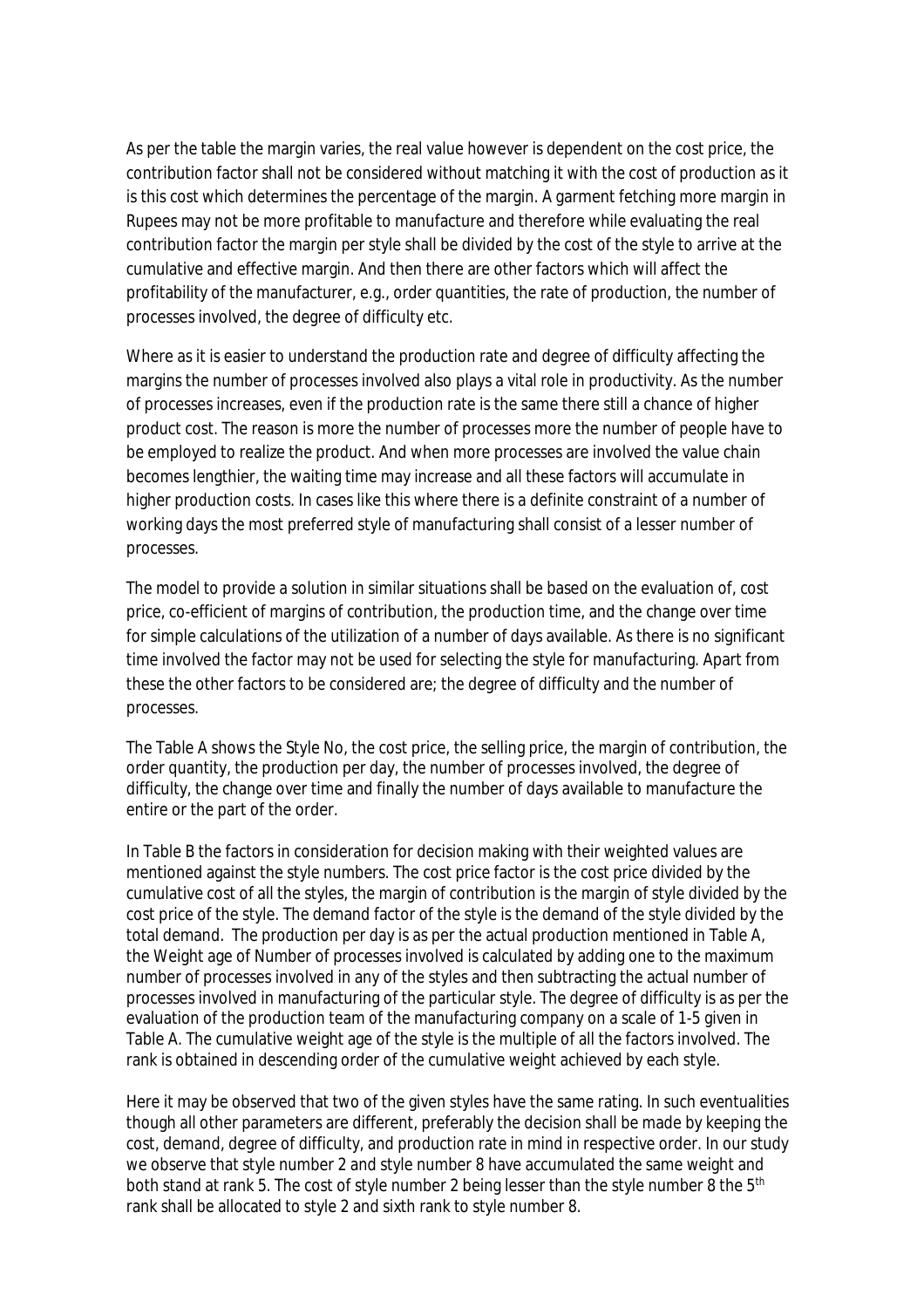As per the table the margin varies, the real value however is dependent on the cost price, the contribution factor shall not be considered without matching it with the cost of production as it is this cost which determines the percentage of the margin. A garment fetching more margin in Rupees may not be more profitable to manufacture and therefore while evaluating the real contribution factor the margin per style shall be divided by the cost of the style to arrive at the cumulative and effective margin. And then there are other factors which will affect the profitability of the manufacturer, e.g., order quantities, the rate of production, the number of processes involved, the degree of difficulty etc.

Where as it is easier to understand the production rate and degree of difficulty affecting the margins the number of processes involved also plays a vital role in productivity. As the number of processes increases, even if the production rate is the same there still a chance of higher product cost. The reason is more the number of processes more the number of people have to be employed to realize the product. And when more processes are involved the value chain becomes lengthier, the waiting time may increase and all these factors will accumulate in higher production costs. In cases like this where there is a definite constraint of a number of working days the most preferred style of manufacturing shall consist of a lesser number of processes.

The model to provide a solution in similar situations shall be based on the evaluation of, cost price, co-efficient of margins of contribution, the production time, and the change over time for simple calculations of the utilization of a number of days available. As there is no significant time involved the factor may not be used for selecting the style for manufacturing. Apart from these the other factors to be considered are; the degree of difficulty and the number of processes.

The Table A shows the Style No, the cost price, the selling price, the margin of contribution, the order quantity, the production per day, the number of processes involved, the degree of difficulty, the change over time and finally the number of days available to manufacture the entire or the part of the order.

In Table B the factors in consideration for decision making with their weighted values are mentioned against the style numbers. The cost price factor is the cost price divided by the cumulative cost of all the styles, the margin of contribution is the margin of style divided by the cost price of the style. The demand factor of the style is the demand of the style divided by the total demand. The production per day is as per the actual production mentioned in Table A, the Weight age of Number of processes involved is calculated by adding one to the maximum number of processes involved in any of the styles and then subtracting the actual number of processes involved in manufacturing of the particular style. The degree of difficulty is as per the evaluation of the production team of the manufacturing company on a scale of 1-5 given in Table A. The cumulative weight age of the style is the multiple of all the factors involved. The rank is obtained in descending order of the cumulative weight achieved by each style.

Here it may be observed that two of the given styles have the same rating. In such eventualities though all other parameters are different, preferably the decision shall be made by keeping the cost, demand, degree of difficulty, and production rate in mind in respective order. In our study we observe that style number 2 and style number 8 have accumulated the same weight and both stand at rank 5. The cost of style number 2 being lesser than the style number 8 the 5<sup>th</sup> rank shall be allocated to style 2 and sixth rank to style number 8.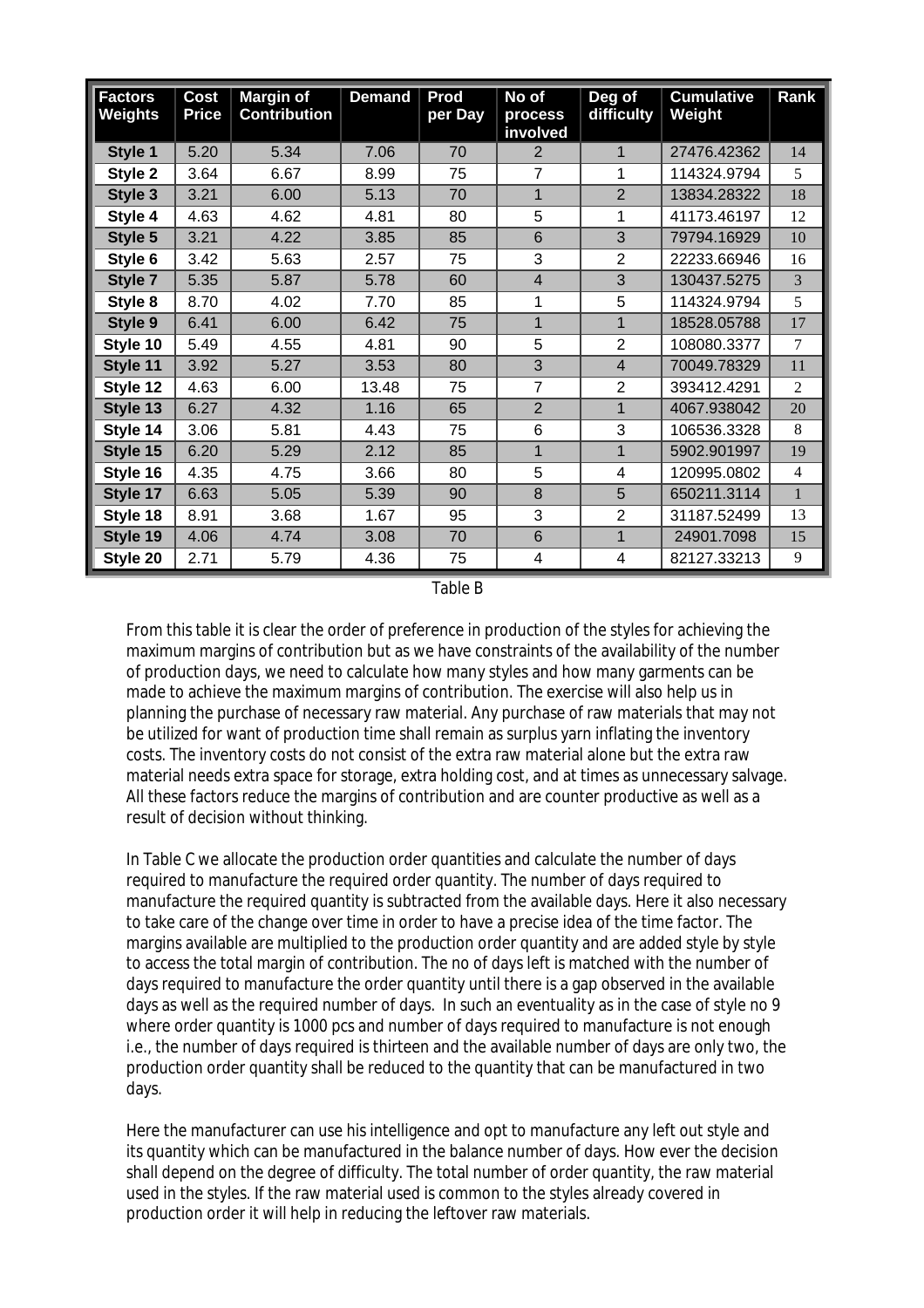| <b>Factors</b><br>Weights | Cost<br><b>Price</b> | <b>Margin of</b><br><b>Contribution</b> | <b>Demand</b> | Prod<br>per Day | No of<br>process<br>involved | Deg of<br>difficulty | <b>Cumulative</b><br>Weight | Rank           |
|---------------------------|----------------------|-----------------------------------------|---------------|-----------------|------------------------------|----------------------|-----------------------------|----------------|
| Style 1                   | 5.20                 | 5.34                                    | 7.06          | 70              | 2                            | 1                    | 27476.42362                 | 14             |
| Style 2                   | 3.64                 | 6.67                                    | 8.99          | 75              | 7                            | 1                    | 114324.9794                 | 5              |
| Style 3                   | 3.21                 | 6.00                                    | 5.13          | 70              | 1                            | $\overline{2}$       | 13834.28322                 | 18             |
| Style 4                   | 4.63                 | 4.62                                    | 4.81          | 80              | 5                            | 1                    | 41173.46197                 | 12             |
| Style 5                   | 3.21                 | 4.22                                    | 3.85          | 85              | 6                            | 3                    | 79794.16929                 | 10             |
| Style 6                   | 3.42                 | 5.63                                    | 2.57          | 75              | 3                            | $\overline{2}$       | 22233.66946                 | 16             |
| Style 7                   | 5.35                 | 5.87                                    | 5.78          | 60              | $\overline{4}$               | 3                    | 130437.5275                 | $\overline{3}$ |
| Style 8                   | 8.70                 | 4.02                                    | 7.70          | 85              | 1                            | 5                    | 114324.9794                 | 5              |
| Style 9                   | 6.41                 | 6.00                                    | 6.42          | 75              | 1                            | 1                    | 18528.05788                 | 17             |
| Style 10                  | 5.49                 | 4.55                                    | 4.81          | 90              | 5                            | $\overline{2}$       | 108080.3377                 | 7              |
| Style 11                  | 3.92                 | 5.27                                    | 3.53          | 80              | 3                            | 4                    | 70049.78329                 | 11             |
| Style 12                  | 4.63                 | 6.00                                    | 13.48         | 75              | $\overline{7}$               | $\overline{2}$       | 393412.4291                 | 2              |
| Style 13                  | 6.27                 | 4.32                                    | 1.16          | 65              | $\overline{2}$               | $\mathbf{1}$         | 4067.938042                 | 20             |
| Style 14                  | 3.06                 | 5.81                                    | 4.43          | 75              | 6                            | 3                    | 106536.3328                 | 8              |
| Style 15                  | 6.20                 | 5.29                                    | 2.12          | 85              | 1                            | $\mathbf{1}$         | 5902.901997                 | 19             |
| Style 16                  | 4.35                 | 4.75                                    | 3.66          | 80              | 5                            | 4                    | 120995.0802                 | $\overline{4}$ |
| Style 17                  | 6.63                 | 5.05                                    | 5.39          | 90              | 8                            | 5                    | 650211.3114                 | $\mathbf{1}$   |
| Style 18                  | 8.91                 | 3.68                                    | 1.67          | 95              | 3                            | $\overline{2}$       | 31187.52499                 | 13             |
| Style 19                  | 4.06                 | 4.74                                    | 3.08          | 70              | 6                            | $\mathbf{1}$         | 24901.7098                  | 15             |
| Style 20                  | 2.71                 | 5.79                                    | 4.36          | 75              | 4                            | 4                    | 82127.33213                 | 9              |

Table B

From this table it is clear the order of preference in production of the styles for achieving the maximum margins of contribution but as we have constraints of the availability of the number of production days, we need to calculate how many styles and how many garments can be made to achieve the maximum margins of contribution. The exercise will also help us in planning the purchase of necessary raw material. Any purchase of raw materials that may not be utilized for want of production time shall remain as surplus yarn inflating the inventory costs. The inventory costs do not consist of the extra raw material alone but the extra raw material needs extra space for storage, extra holding cost, and at times as unnecessary salvage. All these factors reduce the margins of contribution and are counter productive as well as a result of decision without thinking.

In Table C we allocate the production order quantities and calculate the number of days required to manufacture the required order quantity. The number of days required to manufacture the required quantity is subtracted from the available days. Here it also necessary to take care of the change over time in order to have a precise idea of the time factor. The margins available are multiplied to the production order quantity and are added style by style to access the total margin of contribution. The no of days left is matched with the number of days required to manufacture the order quantity until there is a gap observed in the available days as well as the required number of days. In such an eventuality as in the case of style no 9 where order quantity is 1000 pcs and number of days required to manufacture is not enough i.e., the number of days required is thirteen and the available number of days are only two, the production order quantity shall be reduced to the quantity that can be manufactured in two days.

Here the manufacturer can use his intelligence and opt to manufacture any left out style and its quantity which can be manufactured in the balance number of days. How ever the decision shall depend on the degree of difficulty. The total number of order quantity, the raw material used in the styles. If the raw material used is common to the styles already covered in production order it will help in reducing the leftover raw materials.